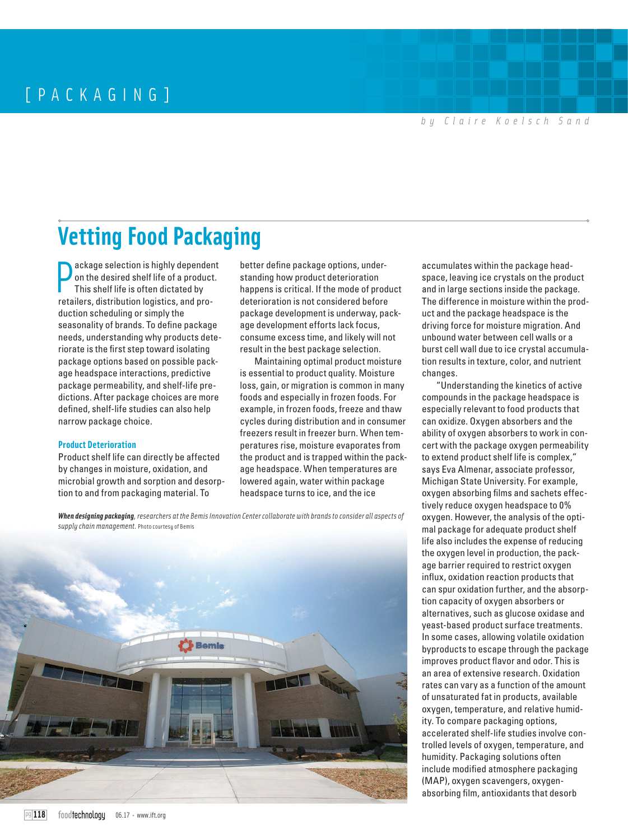# **Vetting Food Packaging**

P ackage selection is highly dependent on the desired shelf life of a product. This shelf life is often dictated by retailers, distribution logistics, and production scheduling or simply the seasonality of brands. To define package needs, understanding why products deteriorate is the first step toward isolating package options based on possible package headspace interactions, predictive package permeability, and shelf-life predictions. After package choices are more defined, shelf-life studies can also help narrow package choice.

### **Product Deterioration**

Product shelf life can directly be affected by changes in moisture, oxidation, and microbial growth and sorption and desorption to and from packaging material. To

better define package options, understanding how product deterioration happens is critical. If the mode of product deterioration is not considered before package development is underway, package development efforts lack focus, consume excess time, and likely will not result in the best package selection.

Maintaining optimal product moisture is essential to product quality. Moisture loss, gain, or migration is common in many foods and especially in frozen foods. For example, in frozen foods, freeze and thaw cycles during distribution and in consumer freezers result in freezer burn. When temperatures rise, moisture evaporates from the product and is trapped within the package headspace. When temperatures are lowered again, water within package headspace turns to ice, and the ice

*When designing packaging, researchers at the Bemis Innovation Center collaborate with brands to consider all aspects of supply chain management.* Photo courtesy of Bemis



accumulates within the package headspace, leaving ice crystals on the product and in large sections inside the package. The difference in moisture within the product and the package headspace is the driving force for moisture migration. And unbound water between cell walls or a burst cell wall due to ice crystal accumulation results in texture, color, and nutrient changes.

"Understanding the kinetics of active compounds in the package headspace is especially relevant to food products that can oxidize. Oxygen absorbers and the ability of oxygen absorbers to work in concert with the package oxygen permeability to extend product shelf life is complex," says Eva Almenar, associate professor, Michigan State University. For example, oxygen absorbing films and sachets effectively reduce oxygen headspace to 0% oxygen. However, the analysis of the optimal package for adequate product shelf life also includes the expense of reducing the oxygen level in production, the package barrier required to restrict oxygen influx, oxidation reaction products that can spur oxidation further, and the absorption capacity of oxygen absorbers or alternatives, such as glucose oxidase and yeast-based product surface treatments. In some cases, allowing volatile oxidation byproducts to escape through the package improves product flavor and odor. This is an area of extensive research. Oxidation rates can vary as a function of the amount of unsaturated fat in products, available oxygen, temperature, and relative humidity. To compare packaging options, accelerated shelf-life studies involve controlled levels of oxygen, temperature, and humidity. Packaging solutions often include modified atmosphere packaging (MAP), oxygen scavengers, oxygenabsorbing film, antioxidants that desorb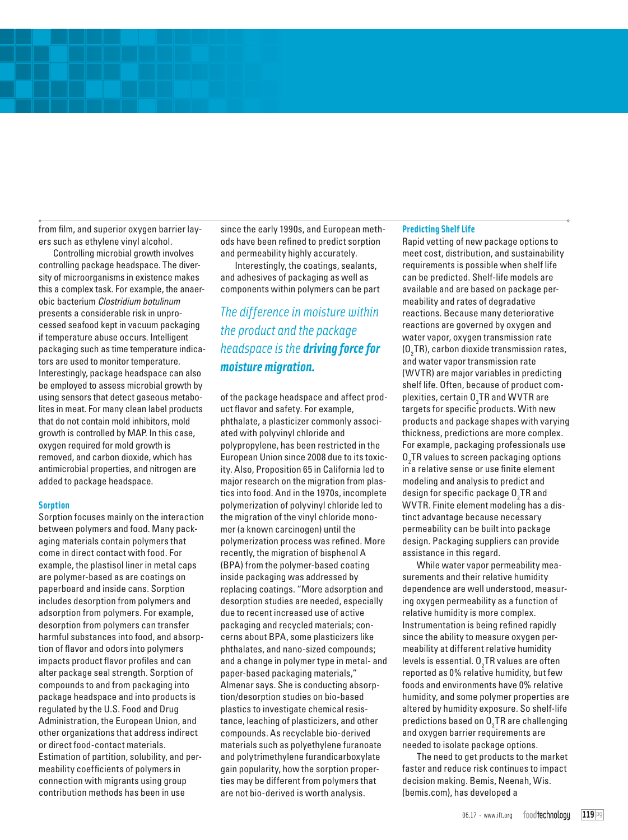from film, and superior oxygen barrier layers such as ethylene vinyl alcohol.

Controlling microbial growth involves controlling package headspace. The diversity of microorganisms in existence makes this a complex task. For example, the anaerobic bacterium *Clostridium botulinum*  presents a considerable risk in unprocessed seafood kept in vacuum packaging if temperature abuse occurs. Intelligent packaging such as time temperature indicators are used to monitor temperature. Interestingly, package headspace can also be employed to assess microbial growth by using sensors that detect gaseous metabolites in meat. For many clean label products that do not contain mold inhibitors, mold growth is controlled by MAP. In this case, oxygen required for mold growth is removed, and carbon dioxide, which has antimicrobial properties, and nitrogen are added to package headspace.

### **Sorption**

Sorption focuses mainly on the interaction between polymers and food. Many packaging materials contain polymers that come in direct contact with food. For example, the plastisol liner in metal caps are polymer-based as are coatings on paperboard and inside cans. Sorption includes desorption from polymers and adsorption from polymers. For example, desorption from polymers can transfer harmful substances into food, and absorption of flavor and odors into polymers impacts product flavor profiles and can alter package seal strength. Sorption of compounds to and from packaging into package headspace and into products is regulated by the U.S. Food and Drug Administration, the European Union, and other organizations that address indirect or direct food-contact materials. Estimation of partition, solubility, and permeability coefficients of polymers in connection with migrants using group contribution methods has been in use

since the early 1990s, and European methods have been refined to predict sorption and permeability highly accurately.

Interestingly, the coatings, sealants, and adhesives of packaging as well as components within polymers can be part

### *The difference in moisture within the product and the package headspace is the driving force for moisture migration.*

of the package headspace and affect product flavor and safety. For example, phthalate, a plasticizer commonly associated with polyvinyl chloride and polypropylene, has been restricted in the European Union since 2008 due to its toxicity. Also, Proposition 65 in California led to major research on the migration from plastics into food. And in the 1970s, incomplete polymerization of polyvinyl chloride led to the migration of the vinyl chloride monomer (a known carcinogen) until the polymerization process was refined. More recently, the migration of bisphenol A (BPA) from the polymer-based coating inside packaging was addressed by replacing coatings. "More adsorption and desorption studies are needed, especially due to recent increased use of active packaging and recycled materials; concerns about BPA, some plasticizers like phthalates, and nano-sized compounds; and a change in polymer type in metal- and paper-based packaging materials," Almenar says. She is conducting absorption/desorption studies on bio-based plastics to investigate chemical resistance, leaching of plasticizers, and other compounds. As recyclable bio-derived materials such as polyethylene furanoate and polytrimethylene furandicarboxylate gain popularity, how the sorption properties may be different from polymers that are not bio-derived is worth analysis.

#### **Predicting Shelf Life**

Rapid vetting of new package options to meet cost, distribution, and sustainability requirements is possible when shelf life can be predicted. Shelf-life models are available and are based on package permeability and rates of degradative reactions. Because many deteriorative reactions are governed by oxygen and water vapor, oxygen transmission rate (O<sub>2</sub>TR), carbon dioxide transmission rates, and water vapor transmission rate (WVTR) are major variables in predicting shelf life. Often, because of product complexities, certain  ${\tt 0}_{\tiny 2}$ TR and WVTR are targets for specific products. With new products and package shapes with varying thickness, predictions are more complex. For example, packaging professionals use  $0<sub>2</sub>$ TR values to screen packaging options in a relative sense or use finite element modeling and analysis to predict and design for specific package  ${\mathsf 0}_2$ TR and WVTR. Finite element modeling has a distinct advantage because necessary permeability can be built into package design. Packaging suppliers can provide assistance in this regard.

While water vapor permeability measurements and their relative humidity dependence are well understood, measuring oxygen permeability as a function of relative humidity is more complex. Instrumentation is being refined rapidly since the ability to measure oxygen permeability at different relative humidity levels is essential.  $0_{_2}$ TR values are often reported as 0% relative humidity, but few foods and environments have 0% relative humidity, and some polymer properties are altered by humidity exposure. So shelf-life predictions based on  ${\mathsf O}_2$ TR are challenging and oxygen barrier requirements are needed to isolate package options.

The need to get products to the market faster and reduce risk continues to impact decision making. Bemis, Neenah, Wis. (bemis.com), has developed a